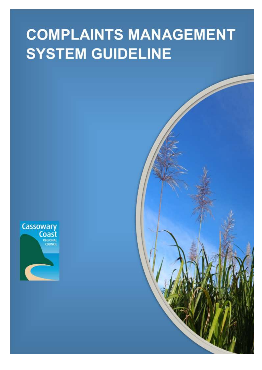# **COMPLAINTS MANAGEMENT SYSTEM GUIDELINE**



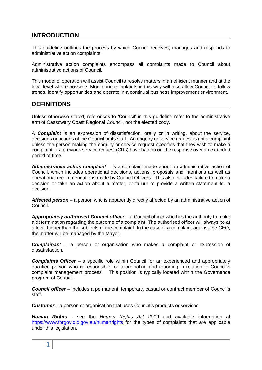# **INTRODUCTION**

This guideline outlines the process by which Council receives, manages and responds to administrative action complaints.

Administrative action complaints encompass all complaints made to Council about administrative actions of Council.

This model of operation will assist Council to resolve matters in an efficient manner and at the local level where possible. Monitoring complaints in this way will also allow Council to follow trends, identify opportunities and operate in a continual business improvement environment.

# **DEFINITIONS**

Unless otherwise stated, references to 'Council' in this guideline refer to the administrative arm of Cassowary Coast Regional Council, not the elected body.

A *Complaint* is an expression of dissatisfaction, orally or in writing, about the service, decisions or actions of the Council or its staff. An enquiry or service request is not a complaint unless the person making the enquiry or service request specifies that they wish to make a complaint or a previous service request (CRs) have had no or little response over an extended period of time.

*Administrative action complaint* – is a complaint made about an administrative action of Council, which includes operational decisions, actions, proposals and intentions as well as operational recommendations made by Council Officers. This also includes failure to make a decision or take an action about a matter, or failure to provide a written statement for a decision.

*Affected person* – a person who is apparently directly affected by an administrative action of Council.

*Appropriately authorised Council officer* – a Council officer who has the authority to make a determination regarding the outcome of a complaint. The authorised officer will always be at a level higher than the subjects of the complaint. In the case of a complaint against the CEO, the matter will be managed by the Mayor.

*Complainant* – a person or organisation who makes a complaint or expression of dissatisfaction.

*Complaints Officer* – a specific role within Council for an experienced and appropriately qualified person who is responsible for coordinating and reporting in relation to Council's complaint management process. This position is typically located within the Governance program of Council.

*Council officer* – includes a permanent, temporary, casual or contract member of Council's staff.

*Customer* – a person or organisation that uses Council's products or services.

*Human Rights* - see the *Human Rights Act 2019* and available information at <https://www.forgov.qld.gov.au/humanrights> for the types of complaints that are applicable under this legislation.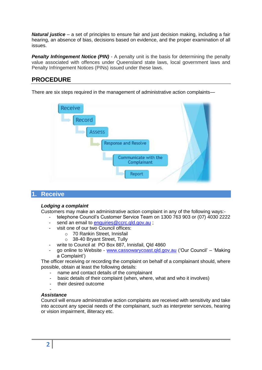*Natural justice* – a set of principles to ensure fair and just decision making, including a fair hearing, an absence of bias, decisions based on evidence, and the proper examination of all issues.

**Penalty Infringement Notice (PIN)** - A penalty unit is the basis for determining the penalty value associated with offences under Queensland state laws, local government laws and Penalty Infringement Notices (PINs) issued under these laws.

# **PROCEDURE**

There are six steps required in the management of administrative action complaints—



# **1. Receive**

### *Lodging a complaint*

Customers may make an administrative action complaint in any of the following ways:-

- telephone Council's Customer Service Team on 1300 763 903 or (07) 4030 2222
- send an email to [enquiries@ccrc.qld.gov.au](mailto:enquiries@ccrc.qld.gov.au) ;
- visit one of our two Council offices:
	- o 70 Rankin Street, Innisfail
	- o 38-40 Bryant Street, Tully
- write to Council at PO Box 887, Innisfail, Qld 4860
- go online to Website [www.cassowarycoast.qld.gov.au](http://www.cassowarycoast.qld.gov.au/) ('Our Council' 'Making a Complaint')

The officer receiving or recording the complaint on behalf of a complainant should, where possible, obtain at least the following details:

- name and contact details of the complainant
- basic details of their complaint (when, where, what and who it involves)
- their desired outcome
- 

### *Assistance*

-

Council will ensure administrative action complaints are received with sensitivity and take into account any special needs of the complainant, such as interpreter services, hearing or vision impairment, illiteracy etc.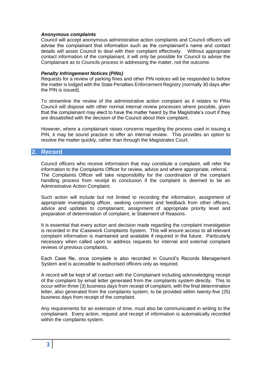#### *Anonymous complaints*

Council will accept anonymous administrative action complaints and Council officers will advise the complainant that information such as the complainant's name and contact details will assist Council to deal with their complaint effectively. Without appropriate contact information of the complainant, it will only be possible for Council to advise the Complainant as to Councils process in addressing the matter, not the outcome.

#### *Penalty Infringement Notices (PINs)*

Requests for a review of parking fines and other PIN notices will be responded to before the matter is lodged with the State Penalties Enforcement Registry (normally 30 days after the PIN is issued).

To streamline the review of the administrative action complaint as it relates to PINs Council will dispose with other normal internal review processes where possible, given that the complainant may elect to have the matter heard by the Magistrate's court if they are dissatisfied with the decision of the Council about their complaint.

However, where a complainant raises concerns regarding the process used in issuing a PIN, it may be sound practice to offer an internal review. This provides an option to resolve the matter quickly, rather than through the Magistrates Court.

# **2. Record**

Council officers who receive information that *may* constitute a complaint, will refer the information to the Complaints Officer for review, advice and where appropriate, referral. The Complaints Officer will take responsibility for the coordination of the complaint handling process from receipt to conclusion if the complaint is deemed to be an Administrative Action Complaint.

Such action will include but not limited to recording the information, assignment of appropriate investigating officer, seeking comment and feedback from other officers, advice and updates to complainant, assignment of appropriate priority level and preparation of determination of complaint, ie Statement of Reasons.

It is essential that every action and decision made regarding the complaint investigation is recorded in the iCasework Complaints System. This will ensure access to all relevant complaint information is maintained and available if required in the future. Particularly necessary when called upon to address requests for internal and external complaint reviews of previous complaints.

Each Case file, once complete is also recorded in Council's Records Management System and is accessible to authorised officers only as required.

A record will be kept of all contact with the Complainant including acknowledging receipt of the complaint by email letter generated from the complaints system directly. This to occur within three (3) business days from receipt of complaint, with the final determination letter, also generated from the complaints system, to be provided within twenty-five (25) business days from receipt of the complaint.

Any requirements for an extension of time, must also be communicated in writing to the complainant. Every action, request and receipt of information is automatically recorded within the complaints system.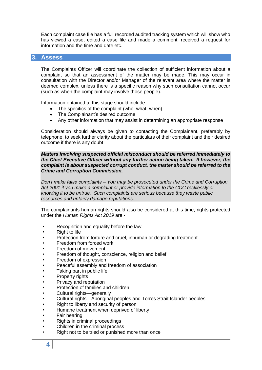Each complaint case file has a full recorded audited tracking system which will show who has viewed a case, edited a case file and made a comment, received a request for information and the time and date etc.

# **3. Assess**

The Complaints Officer will coordinate the collection of sufficient information about a complaint so that an assessment of the matter may be made. This may occur in consultation with the Director and/or Manager of the relevant area where the matter is deemed complex, unless there is a specific reason why such consultation cannot occur (such as when the complaint may involve those people).

Information obtained at this stage should include:

- The specifics of the complaint (who, what, when)
- The Complainant's desired outcome
- Any other information that may assist in determining an appropriate response

Consideration should always be given to contacting the Complainant, preferably by telephone, to seek further clarity about the particulars of their complaint and their desired outcome if there is any doubt.

*Matters involving suspected official misconduct should be referred immediately to the Chief Executive Officer without any further action being taken. If however, the complaint is about suspected corrupt conduct, the matter should be referred to the Crime and Corruption Commission.*

*Don't make false complaints – You may be prosecuted under the Crime and Corruption Act 2001 if you make a complaint or provide information to the CCC recklessly or knowing it to be untrue. Such complaints are serious because they waste public resources and unfairly damage reputations.*

The complainants human rights should also be considered at this time, rights protected under the *Human Rights Act 2019* are:-

- Recognition and equality before the law
- **Right to life**
- Protection from torture and cruel, inhuman or degrading treatment
- Freedom from forced work
- Freedom of movement
- Freedom of thought, conscience, religion and belief
- Freedom of expression
- Peaceful assembly and freedom of association
- Taking part in public life
- Property rights
- Privacy and reputation
- Protection of families and children
- Cultural rights—generally
- Cultural rights—Aboriginal peoples and Torres Strait Islander peoples
- Right to liberty and security of person
- Humane treatment when deprived of liberty
- Fair hearing
- Rights in criminal proceedings
- Children in the criminal process
- Right not to be tried or punished more than once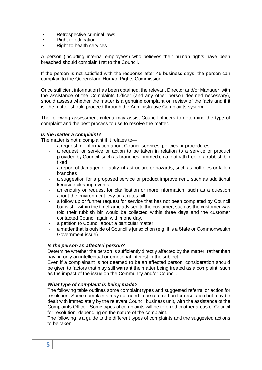- Retrospective criminal laws
- Right to education
- Right to health services

A person (including internal employees) who believes their human rights have been breached should complain first to the Council.

If the person is not satisfied with the response after 45 business days, the person can complain to the Queensland Human Rights Commission

Once sufficient information has been obtained, the relevant Director and/or Manager, with the assistance of the Complaints Officer (and any other person deemed necessary), should assess whether the matter is a genuine complaint on review of the facts and if it is, the matter should proceed through the Administrative Complaints system.

The following assessment criteria may assist Council officers to determine the type of complaint and the best process to use to resolve the matter.

## *Is the matter a complaint?*

The matter is not a complaint if it relates to—

- a request for information about Council services, policies or procedures
- a request for service or action to be taken in relation to a service or product provided by Council, such as branches trimmed on a footpath tree or a rubbish bin fixed
- a report of damaged or faulty infrastructure or hazards, such as potholes or fallen branches
- a suggestion for a proposed service or product improvement, such as additional kerbside cleanup events
- an enquiry or request for clarification or more information, such as a question about the environment levy on a rates bill
- a follow up or further request for service that has not been completed by Council but is still within the timeframe advised to the customer, such as the customer was told their rubbish bin would be collected within three days and the customer contacted Council again within one day.
- a petition to Council about a particular matter
- a matter that is outside of Council's jurisdiction (e.g. it is a State or Commonwealth Government issue)

### *Is the person an affected person?*

Determine whether the person is sufficiently directly affected by the matter, rather than having only an intellectual or emotional interest in the subject.

Even if a complainant is not deemed to be an affected person, consideration should be given to factors that may still warrant the matter being treated as a complaint, such as the impact of the issue on the Community and/or Council.

### *What type of complaint is being made?*

The following table outlines some complaint types and suggested referral or action for resolution. Some complaints may not need to be referred on for resolution but may be dealt with immediately by the relevant Council business unit, with the assistance of the Complaints Officer. Some types of complaints will be referred to other areas of Council for resolution, depending on the nature of the complaint.

The following is a guide to the different types of complaints and the suggested actions to be taken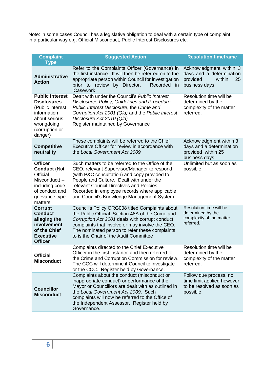Note: in some cases Council has a legislative obligation to deal with a certain type of complaint in a particular way e.g. Official Misconduct, Public Interest Disclosures etc.

| <b>Complaint</b><br><b>Type</b>                                                                                                             | <b>Suggested Action</b>                                                                                                                                                                                                                                                                                                                 | <b>Resolution timeframe</b>                                                                      |
|---------------------------------------------------------------------------------------------------------------------------------------------|-----------------------------------------------------------------------------------------------------------------------------------------------------------------------------------------------------------------------------------------------------------------------------------------------------------------------------------------|--------------------------------------------------------------------------------------------------|
| <b>Administrative</b><br><b>Action</b>                                                                                                      | Refer to the Complaints Officer (Governance) in<br>the first instance. It will then be referred on to the<br>appropriate person within Council for investigation<br>prior to review by Director.<br>Recorded<br>in.<br><b>iCasework</b>                                                                                                 | Acknowledgment within 3<br>days and a determination<br>provided<br>within<br>25<br>business days |
| <b>Public Interest</b><br><b>Disclosures</b><br>(Public interest<br>information<br>about serious<br>wrongdoing<br>(corruption or<br>danger) | Dealt with under the Council's Public Interest<br>Disclosures Policy, Guidelines and Procedure<br>Public Interest Disclosure, the Crime and<br>Corruption Act 2001 (Qld) and the Public Interest<br>Disclosure Act 2010 (Qld)<br>Register maintained by Governance                                                                      | Resolution time will be<br>determined by the<br>complexity of the matter<br>referred.            |
| <b>Competitive</b><br>neutrality                                                                                                            | These complaints will be referred to the Chief<br>Executive Officer for review in accordance with<br>the Local Government Act 2009                                                                                                                                                                                                      | Acknowledgment within 3<br>days and a determination<br>provided within 25<br>business days       |
| <b>Officer</b><br><b>Conduct (Not</b><br>Official<br>$Misconduct$ ) –<br>including code<br>of conduct and<br>grievance type<br>matters      | Such matters to be referred to the Office of the<br>CEO, relevant Supervisor/Manager to respond<br>(with P&C consultation) and copy provided to<br>People and Culture. Dealt with under the<br>relevant Council Directives and Policies.<br>Recorded in employee records where applicable<br>and Council's Knowledge Management System. | Unlimited but as soon as<br>possible.                                                            |
| <b>Corrupt</b><br><b>Conduct</b><br>alleging the<br>involvement<br>of the Chief<br><b>Executive</b><br><b>Officer</b>                       | Council's Policy ORG008 titled Complaints about<br>the Public Official: Section 48A of the Crime and<br>Corruption Act 2001 deals with corrupt conduct<br>complaints that involve or may involve the CEO.<br>The nominated person to refer these complaints<br>to is the Chair of the Audit Committee                                   | Resolution time will be<br>determined by the<br>complexity of the matter<br>referred.            |
| <b>Official</b><br><b>Misconduct</b>                                                                                                        | Complaints directed to the Chief Executive<br>Officer in the first instance and then referred to<br>the Crime and Corruption Commission for review.<br>The CCC will determine if Council to investigate<br>or the CCC. Register held by Governance.                                                                                     | Resolution time will be<br>determined by the<br>complexity of the matter<br>referred.            |
| <b>Councillor</b><br><b>Misconduct</b>                                                                                                      | Complaints about the conduct (misconduct or<br>inappropriate conduct) or performance of the<br>Mayor or Councillors are dealt with as outlined in<br>the Local Government Act 2009. Such<br>complaints will now be referred to the Office of<br>the Independent Assessor. Register held by<br>Governance.                               | Follow due process, no<br>time limit applied however<br>to be resolved as soon as<br>possible    |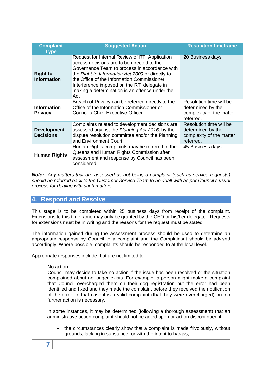| <b>Complaint</b><br><b>Type</b>        | <b>Suggested Action</b>                                                                                                                                                                                                                                                                                                                                   | <b>Resolution timeframe</b>                                                           |
|----------------------------------------|-----------------------------------------------------------------------------------------------------------------------------------------------------------------------------------------------------------------------------------------------------------------------------------------------------------------------------------------------------------|---------------------------------------------------------------------------------------|
| <b>Right to</b><br><b>Information</b>  | Request for Internal Review of RTI Application<br>access decisions are to be directed to the<br>Governance Team to process in accordance with<br>the Right to Information Act 2009 or directly to<br>the Office of the Information Commissioner.<br>Interference imposed on the RTI delegate in<br>making a determination is an offence under the<br>Act. | 20 Business days                                                                      |
| <b>Information</b><br><b>Privacy</b>   | Breach of Privacy can be referred directly to the<br>Office of the Information Commissioner or<br>Council's Chief Executive Officer.                                                                                                                                                                                                                      | Resolution time will be<br>determined by the<br>complexity of the matter<br>referred. |
| <b>Development</b><br><b>Decisions</b> | Complaints related to development decisions are.<br>assessed against the Planning Act 2016, by the<br>dispute resolution committee and/or the Planning<br>and Environment Court.                                                                                                                                                                          | Resolution time will be<br>determined by the<br>complexity of the matter<br>referred. |
| <b>Human Rights</b>                    | Human Rights complaints may be referred to the<br>Queensland Human Rights Commission after<br>assessment and response by Council has been<br>considered.                                                                                                                                                                                                  | 45 Business days                                                                      |

*Note: Any matters that are assessed as not being a complaint (such as service requests) should be referred back to the Customer Service Team to be dealt with as per Council's usual process for dealing with such matters.*

# **4. Respond and Resolve**

This stage is to be completed within 25 business days from receipt of the complaint. Extensions to this timeframe may only be granted by the CEO or his/her delegate. Requests for extensions must be in writing and the reasons for the request must be stated.

The information gained during the assessment process should be used to determine an appropriate response by Council to a complaint and the Complainant should be advised accordingly. Where possible, complaints should be responded to at the local level.

Appropriate responses include, but are not limited to:

No action

Council may decide to take no action if the issue has been resolved or the situation complained about no longer exists. For example, a person might make a complaint that Council overcharged them on their dog registration but the error had been identified and fixed and they made the complaint before they received the notification of the error. In that case it is a valid complaint (that they were overcharged) but no further action is necessary.

In some instances, it may be determined (following a thorough assessment) that an administrative action complaint should not be acted upon or action discontinued if—

• the circumstances clearly show that a complaint is made frivolously, without grounds, lacking in substance, or with the intent to harass;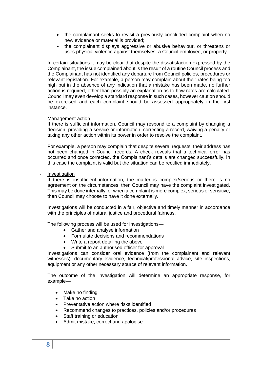- the complainant seeks to revisit a previously concluded complaint when no new evidence or material is provided;
- the complainant displays aggressive or abusive behaviour, or threatens or uses physical violence against themselves, a Council employee, or property.

In certain situations it may be clear that despite the dissatisfaction expressed by the Complainant, the issue complained about is the result of a routine Council process and the Complainant has not identified any departure from Council policies, procedures or relevant legislation. For example, a person may complain about their rates being too high but in the absence of any indication that a mistake has been made, no further action is required, other than possibly an explanation as to how rates are calculated. Council may even develop a standard response in such cases, however caution should be exercised and each complaint should be assessed appropriately in the first instance.

#### Management action

If there is sufficient information, Council may respond to a complaint by changing a decision, providing a service or information, correcting a record, waiving a penalty or taking any other action within its power in order to resolve the complaint.

For example, a person may complain that despite several requests, their address has not been changed in Council records. A check reveals that a technical error has occurred and once corrected, the Complainant's details are changed successfully. In this case the complaint is valid but the situation can be rectified immediately.

**Investigation** 

If there is insufficient information, the matter is complex/serious or there is no agreement on the circumstances, then Council may have the complaint investigated. This may be done internally, or when a complaint is more complex, serious or sensitive, then Council may choose to have it done externally.

Investigations will be conducted in a fair, objective and timely manner in accordance with the principles of natural justice and procedural fairness.

The following process will be used for investigations—

- Gather and analyse information
- Formulate decisions and recommendations
- Write a report detailing the above
- Submit to an authorised officer for approval

Investigations can consider oral evidence (from the complainant and relevant witnesses), documentary evidence, technical/professional advice, site inspections, equipment or any other necessary source of relevant information.

The outcome of the investigation will determine an appropriate response, for example—

- Make no finding
- Take no action
- Preventative action where risks identified
- Recommend changes to practices, policies and/or procedures
- Staff training or education
- Admit mistake, correct and apologise.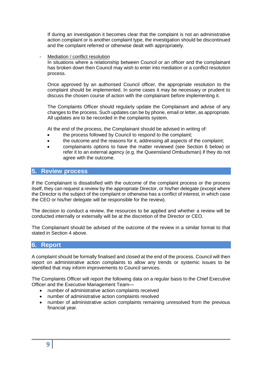If during an investigation it becomes clear that the complaint is not an administrative action complaint or is another complaint type, the investigation should be discontinued and the complaint referred or otherwise dealt with appropriately.

#### Mediation / conflict resolution

In situations where a relationship between Council or an officer and the complainant has broken down then Council may wish to enter into mediation or a conflict resolution process.

Once approved by an authorised Council officer, the appropriate resolution to the complaint should be implemented. In some cases it may be necessary or prudent to discuss the chosen course of action with the complainant before implementing it.

The Complaints Officer should regularly update the Complainant and advise of any changes to the process. Such updates can be by phone, email or letter, as appropriate. All updates are to be recorded in the complaints system.

At the end of the process, the Complainant should be advised in writing of:

- the process followed by Council to respond to the complaint;
- the outcome and the reasons for it, addressing all aspects of the complaint;
- complainants options to have the matter reviewed (see Section 6 below) or refer it to an external agency (e.g. the Queensland Ombudsman) if they do not agree with the outcome.

# **5. Review process**

If the Complainant is dissatisfied with the outcome of the complaint process or the process itself, they can request a review by the appropriate Director, or his/her delegate (except where the Director is the subject of the complaint or otherwise has a conflict of interest, in which case the CEO or his/her delegate will be responsible for the review).

The decision to conduct a review, the resources to be applied and whether a review will be conducted internally or externally will be at the discretion of the Director or CEO.

The Complainant should be advised of the outcome of the review in a similar format to that stated in Section 4 above.

# **6. Report**

A complaint should be formally finalised and closed at the end of the process. Council will then report on administrative action complaints to allow any trends or systemic issues to be identified that may inform improvements to Council services.

The Complaints Officer will report the following data on a regular basis to the Chief Executive Officer and the Executive Management Team—

- number of administrative action complaints received
- number of administrative action complaints resolved
- number of administrative action complaints remaining unresolved from the previous financial year.